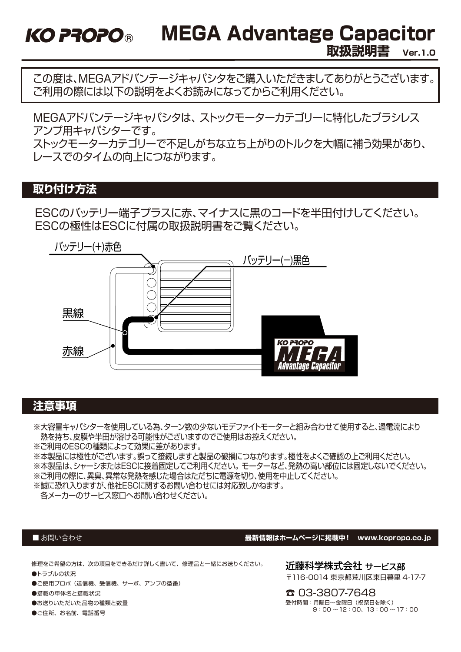MEGA Advantage Capacitor **KO PROPO®** 

**取扱説明書 Ver.1.0**

この度は、MEGAアドバンテージキャパシタをご購入いただきましてありがとうございます。 ご利用の際には以下の説明をよくお読みになってからご利用ください。

MEGAアドバンテージキャパシタは、 ストックモーターカテゴリーに特化したブラシレス アンプ用キャパシターです。 ストックモーターカテゴリーで不足しがちな立ち上がりのトルクを大幅に補う効果があり、 レースでのタイムの向上につながります。

# **取り付け方法**

ESCのバッテリー端子プラスに赤、マイナスに黒のコードを半田付けしてください。 ESCの極性はESCに付属の取扱説明書をご覧ください。



## **注意事項**

※大容量キャパシターを使用している為、ターン数の少ないモデファイトモーターと組み合わせて使用すると、過電流により 熱を持ち、皮膜や半田が溶ける可能性がございますのでご使用はお控えください。

※ご利用のESCの種類によって効果に差があります。

※本製品には極性がございます。誤って接続しますと製品の破損につながります。極性をよくご確認の上ご利用ください。

※本製品は、シャーシまたはESCに接着固定してご利用ください。 モーターなど、発熱の高い部位には固定しないでください。

※ご利用の際に、異臭、異常な発熱を感じた場合はただちに電源を切り、使用を中止してください。

※誠に恐れ入りますが、他社ESCに関するお問い合わせには対応致しかねます。

各メーカーのサービス窓口へお問い合わせください。

#### ■お問い合わせ

#### **最新情報はホームページに掲載中! www.kopropo.co.jp**

修理をご希望の方は、次の項目をできるだけ詳しく書いて、修理品と一緒にお送りください。

- ●トラブルの状況
- ●ご使用プロポ(送信機、受信機、サーボ、アンプの型番)
- ●搭載の車体名と搭載状況
- ●お送りいただいた品物の種類と数量
- ●ご住所、お名前、電話番号

近藤科学株式会社 サービス部 〒116-0014 東京都荒川区東日暮里 4-17-7

☎ 03-3807-7648 受付時間:月曜日~金曜日(祝祭日を除く)  $9:00 \sim 12:00, 13:00 \sim 17:00$